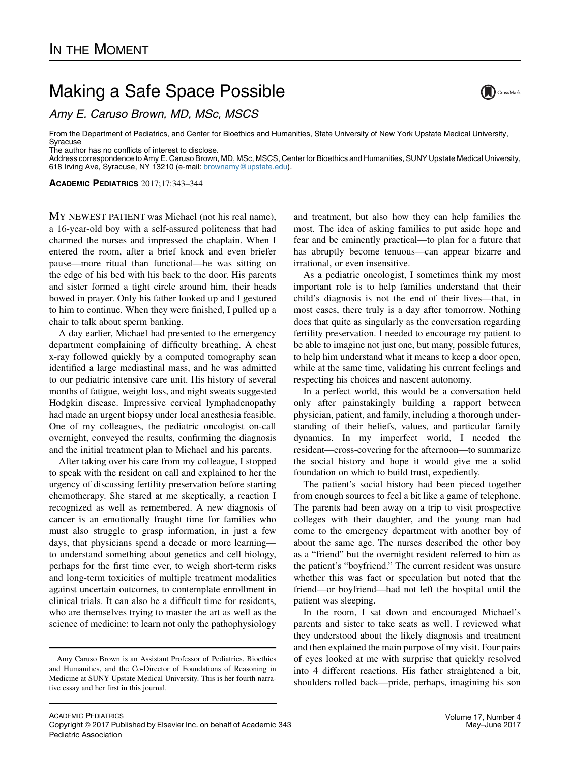## Making a Safe Space Possible

Amy E. Caruso Brown, MD, MSc, MSCS

From the Department of Pediatrics, and Center for Bioethics and Humanities, State University of New York Upstate Medical University, Syracuse

The author has no conflicts of interest to disclose.

Address correspondence to Amy E. Caruso Brown, MD, MSc, MSCS, Center for Bioethics and Humanities, SUNY Upstate Medical University, 618 Irving Ave, Syracuse, NY 13210 (e-mail: [brownamy@upstate.edu](mailto:brownamy@upstate.edu)).

ACADEMIC PEDIATRICS 2017;17:343–344

MY NEWEST PATIENT was Michael (not his real name), a 16-year-old boy with a self-assured politeness that had charmed the nurses and impressed the chaplain. When I entered the room, after a brief knock and even briefer pause—more ritual than functional—he was sitting on the edge of his bed with his back to the door. His parents and sister formed a tight circle around him, their heads bowed in prayer. Only his father looked up and I gestured to him to continue. When they were finished, I pulled up a chair to talk about sperm banking.

A day earlier, Michael had presented to the emergency department complaining of difficulty breathing. A chest x-ray followed quickly by a computed tomography scan identified a large mediastinal mass, and he was admitted to our pediatric intensive care unit. His history of several months of fatigue, weight loss, and night sweats suggested Hodgkin disease. Impressive cervical lymphadenopathy had made an urgent biopsy under local anesthesia feasible. One of my colleagues, the pediatric oncologist on-call overnight, conveyed the results, confirming the diagnosis and the initial treatment plan to Michael and his parents.

After taking over his care from my colleague, I stopped to speak with the resident on call and explained to her the urgency of discussing fertility preservation before starting chemotherapy. She stared at me skeptically, a reaction I recognized as well as remembered. A new diagnosis of cancer is an emotionally fraught time for families who must also struggle to grasp information, in just a few days, that physicians spend a decade or more learning to understand something about genetics and cell biology, perhaps for the first time ever, to weigh short-term risks and long-term toxicities of multiple treatment modalities against uncertain outcomes, to contemplate enrollment in clinical trials. It can also be a difficult time for residents, who are themselves trying to master the art as well as the science of medicine: to learn not only the pathophysiology

and treatment, but also how they can help families the most. The idea of asking families to put aside hope and fear and be eminently practical—to plan for a future that has abruptly become tenuous—can appear bizarre and irrational, or even insensitive.

As a pediatric oncologist, I sometimes think my most important role is to help families understand that their child's diagnosis is not the end of their lives—that, in most cases, there truly is a day after tomorrow. Nothing does that quite as singularly as the conversation regarding fertility preservation. I needed to encourage my patient to be able to imagine not just one, but many, possible futures, to help him understand what it means to keep a door open, while at the same time, validating his current feelings and respecting his choices and nascent autonomy.

In a perfect world, this would be a conversation held only after painstakingly building a rapport between physician, patient, and family, including a thorough understanding of their beliefs, values, and particular family dynamics. In my imperfect world, I needed the resident—cross-covering for the afternoon—to summarize the social history and hope it would give me a solid foundation on which to build trust, expediently.

The patient's social history had been pieced together from enough sources to feel a bit like a game of telephone. The parents had been away on a trip to visit prospective colleges with their daughter, and the young man had come to the emergency department with another boy of about the same age. The nurses described the other boy as a "friend" but the overnight resident referred to him as the patient's "boyfriend." The current resident was unsure whether this was fact or speculation but noted that the friend—or boyfriend—had not left the hospital until the patient was sleeping.

In the room, I sat down and encouraged Michael's parents and sister to take seats as well. I reviewed what they understood about the likely diagnosis and treatment and then explained the main purpose of my visit. Four pairs of eyes looked at me with surprise that quickly resolved into 4 different reactions. His father straightened a bit, shoulders rolled back—pride, perhaps, imagining his son



Amy Caruso Brown is an Assistant Professor of Pediatrics, Bioethics and Humanities, and the Co-Director of Foundations of Reasoning in Medicine at SUNY Upstate Medical University. This is her fourth narrative essay and her first in this journal.